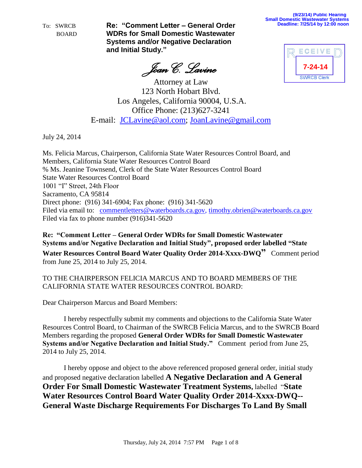*Joan C. Lavine*

**(9/23/14) Public Hearing Small Domestic Wastewater Systems Deadline: 7/25/14 by 12:00 noon**



Attorney at Law 123 North Hobart Blvd. Los Angeles, California 90004, U.S.A. Office Phone: (213)627-3241 E-mail: [JCLavine@aol.com;](mailto:JCLavine@aol.com) [JoanLavine@gmail.com](mailto:JoanLavine@gmail.com)

July 24, 2014

Ms. Felicia Marcus, Chairperson, California State Water Resources Control Board, and Members, California State Water Resources Control Board % Ms. Jeanine Townsend, Clerk of the State Water Resources Control Board State Water Resources Control Board 1001 "I" Street, 24th Floor Sacramento, CA 95814 Direct phone: (916) 341-6904; Fax phone: (916) 341-5620 Filed via email to: [commentletters@waterboards.ca.gov,](mailto:commentletters@waterboards.ca.gov) [timothy.obrien@waterboards.ca.gov](mailto:timothy.obrien@waterboards.ca.gov) Filed via fax to phone number (916)341-5620

**Re: "Comment Letter – General Order WDRs for Small Domestic Wastewater Systems and/or Negative Declaration and Initial Study", proposed order labelled "State Water Resources Control Board Water Quality Order 2014-Xxxx-DWQ"** Comment period from June 25, 2014 to July 25, 2014.

TO THE CHAIRPERSON FELICIA MARCUS AND TO BOARD MEMBERS OF THE CALIFORNIA STATE WATER RESOURCES CONTROL BOARD:

Dear Chairperson Marcus and Board Members:

I hereby respectfully submit my comments and objections to the California State Water Resources Control Board, to Chairman of the SWRCB Felicia Marcus, and to the SWRCB Board Members regarding the proposed **General Order WDRs for Small Domestic Wastewater Systems and/or Negative Declaration and Initial Study."** Comment period from June 25, 2014 to July 25, 2014.

I hereby oppose and object to the above referenced proposed general order, initial study and proposed negative declaration labelled **A Negative Declaration and A General Order For Small Domestic Wastewater Treatment Systems,** labelled "**State Water Resources Control Board Water Quality Order 2014-Xxxx-DWQ-- General Waste Discharge Requirements For Discharges To Land By Small**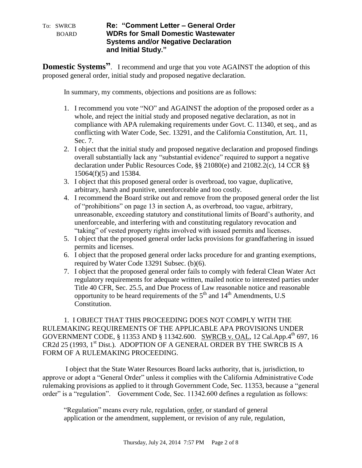**Domestic Systems<sup>?</sup>.** I recommend and urge that you vote AGAINST the adoption of this proposed general order, initial study and proposed negative declaration.

In summary, my comments, objections and positions are as follows:

- 1. I recommend you vote "NO" and AGAINST the adoption of the proposed order as a whole, and reject the initial study and proposed negative declaration, as not in compliance with APA rulemaking requirements under Govt. C. 11340, et seq., and as conflicting with Water Code, Sec. 13291, and the California Constitution, Art. 11, Sec. 7.
- 2. I object that the initial study and proposed negative declaration and proposed findings overall substantially lack any "substantial evidence" required to support a negative declaration under Public Resources Code, §§ 21080(e) and 21082.2(c), 14 CCR §§ 15064(f)(5) and 15384.
- 3. I object that this proposed general order is overbroad, too vague, duplicative, arbitrary, harsh and punitive, unenforceable and too costly.
- 4. I recommend the Board strike out and remove from the proposed general order the list of "prohibitions" on page 13 in section A, as overbroad, too vague, arbitrary, unreasonable, exceeding statutory and constitutional limits of Board's authority, and unenforceable, and interfering with and constituting regulatory revocation and "taking" of vested property rights involved with issued permits and licenses.
- 5. I object that the proposed general order lacks provisions for grandfathering in issued permits and licenses.
- 6. I object that the proposed general order lacks procedure for and granting exemptions, required by Water Code 13291 Subsec. (b)(6).
- 7. I object that the proposed general order fails to comply with federal Clean Water Act regulatory requirements for adequate written, mailed notice to interested parties under Title 40 CFR, Sec. 25.5, and Due Process of Law reasonable notice and reasonable opportunity to be heard requirements of the  $5<sup>th</sup>$  and  $14<sup>th</sup>$  Amendments, U.S Constitution.

1. I OBJECT THAT THIS PROCEEDING DOES NOT COMPLY WITH THE RULEMAKING REQUIREMENTS OF THE APPLICABLE APA PROVISIONS UNDER GOVERNMENT CODE, § 11353 AND § 11342.600. SWRCB v. OAL, 12 Cal.App.4<sup>th</sup> 697, 16 CR2d 25 (1993, 1st Dist.). ADOPTION OF A GENERAL ORDER BY THE SWRCB IS A FORM OF A RULEMAKING PROCEEDING.

I object that the State Water Resources Board lacks authority, that is, jurisdiction, to approve or adopt a "General Order" unless it complies with the California Administrative Code rulemaking provisions as applied to it through Government Code, Sec. 11353, because a "general order" is a "regulation". Government Code, Sec. 11342.600 defines a regulation as follows:

"Regulation" means every rule, regulation, order, or standard of general application or the amendment, supplement, or revision of any rule, regulation,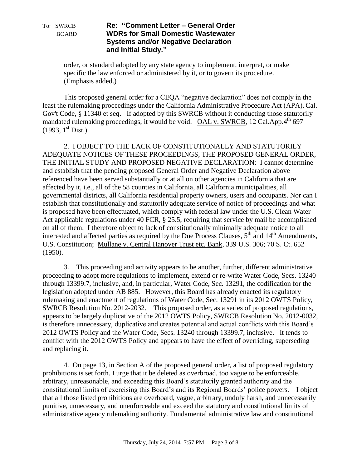order, or standard adopted by any state agency to implement, interpret, or make specific the law enforced or administered by it, or to govern its procedure. (Emphasis added.)

This proposed general order for a CEQA "negative declaration" does not comply in the least the rulemaking proceedings under the California Administrative Procedure Act (APA), Cal. Gov't Code, § 11340 et seq. If adopted by this SWRCB without it conducting those statutorily mandated rulemaking proceedings, it would be void. OAL v. SWRCB, 12 Cal.App.4<sup>th</sup> 697  $(1993, 1<sup>st</sup> Dist.).$ 

2. I OBJECT TO THE LACK OF CONSTITUTIONALLY AND STATUTORILY ADEQUATE NOTICES OF THESE PROCEEDINGS, THE PROPOSED GENERAL ORDER, THE INITIAL STUDY AND PROPOSED NEGATIVE DECLARATION: I cannot determine and establish that the pending proposed General Order and Negative Declaration above referenced have been served substantially or at all on other agencies in California that are affected by it, i.e., all of the 58 counties in California, all California municipalities, all governmental districts, all California residential property owners, users and occupants. Nor can I establish that constitutionally and statutorily adequate service of notice of proceedings and what is proposed have been effectuated, which comply with federal law under the U.S. Clean Water Act applicable regulations under 40 FCR, § 25.5, requiring that service by mail be accomplished on all of them. I therefore object to lack of constitutionally minimally adequate notice to all interested and affected parties as required by the Due Process Clauses,  $5<sup>th</sup>$  and  $14<sup>th</sup>$  Amendments, U.S. Constitution; Mullane v. Central Hanover Trust etc. Bank, 339 U.S. 306; 70 S. Ct. 652 (1950).

3. This proceeding and activity appears to be another, further, different administrative proceeding to adopt more regulations to implement, extend or re-write Water Code, Secs. 13240 through 13399.7, inclusive, and, in particular, Water Code, Sec. 13291, the codification for the legislation adopted under AB 885. However, this Board has already enacted its regulatory rulemaking and enactment of regulations of Water Code, Sec. 13291 in its 2012 OWTS Policy, SWRCB Resolution No. 2012-2032. This proposed order, as a series of proposed regulations, appears to be largely duplicative of the 2012 OWTS Policy, SWRCB Resolution No. 2012-0032, is therefore unnecessary, duplicative and creates potential and actual conflicts with this Board's 2012 OWTS Policy and the Water Code, Secs. 13240 through 13399.7, inclusive. It tends to conflict with the 2012 OWTS Policy and appears to have the effect of overriding, superseding and replacing it.

4. On page 13, in Section A of the proposed general order, a list of proposed regulatory prohibitions is set forth. I urge that it be deleted as overbroad, too vague to be enforceable, arbitrary, unreasonable, and exceeding this Board's statutorily granted authority and the constitutional limits of exercising this Board's and its Regional Boards' police powers. I object that all those listed prohibitions are overboard, vague, arbitrary, unduly harsh, and unnecessarily punitive, unnecessary, and unenforceable and exceed the statutory and constitutional limits of administrative agency rulemaking authority. Fundamental administrative law and constitutional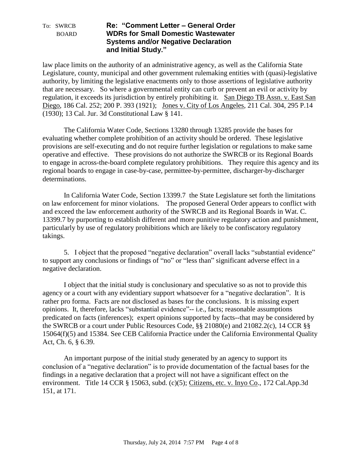law place limits on the authority of an administrative agency, as well as the California State Legislature, county, municipal and other government rulemaking entities with (quasi)-legislative authority, by limiting the legislative enactments only to those assertions of legislative authority that are necessary. So where a governmental entity can curb or prevent an evil or activity by regulation, it exceeds its jurisdiction by entirely prohibiting it. San Diego TB Assn. v. East San Diego, 186 Cal. 252; 200 P. 393 (1921); Jones v. City of Los Angeles, 211 Cal. 304, 295 P.14 (1930); 13 Cal. Jur. 3d Constitutional Law § 141.

The California Water Code, Sections 13280 through 13285 provide the bases for evaluating whether complete prohibition of an activity should be ordered. These legislative provisions are self-executing and do not require further legislation or regulations to make same operative and effective. These provisions do not authorize the SWRCB or its Regional Boards to engage in across-the-board complete regulatory prohibitions. They require this agency and its regional boards to engage in case-by-case, permittee-by-permittee, discharger-by-discharger determinations.

In California Water Code, Section 13399.7 the State Legislature set forth the limitations on law enforcement for minor violations. The proposed General Order appears to conflict with and exceed the law enforcement authority of the SWRCB and its Regional Boards in Wat. C. 13399.7 by purporting to establish different and more punitive regulatory action and punishment, particularly by use of regulatory prohibitions which are likely to be confiscatory regulatory takings.

5. I object that the proposed "negative declaration" overall lacks "substantial evidence" to support any conclusions or findings of "no" or "less than" significant adverse effect in a negative declaration.

I object that the initial study is conclusionary and speculative so as not to provide this agency or a court with any evidentiary support whatsoever for a "negative declaration". It is rather pro forma. Facts are not disclosed as bases for the conclusions. It is missing expert opinions. It, therefore, lacks "substantial evidence"-- i.e., facts; reasonable assumptions predicated on facts (inferences); expert opinions supported by facts--that may be considered by the SWRCB or a court under Public Resources Code, §§ 21080(e) and 21082.2(c), 14 CCR §§ 15064(f)(5) and 15384. See CEB California Practice under the California Environmental Quality Act, Ch. 6, § 6.39.

An important purpose of the initial study generated by an agency to support its conclusion of a "negative declaration" is to provide documentation of the factual bases for the findings in a negative declaration that a project will not have a significant effect on the environment. Title 14 CCR § 15063, subd. (c)(5); Citizens, etc. v. Inyo Co., 172 Cal.App.3d 151, at 171.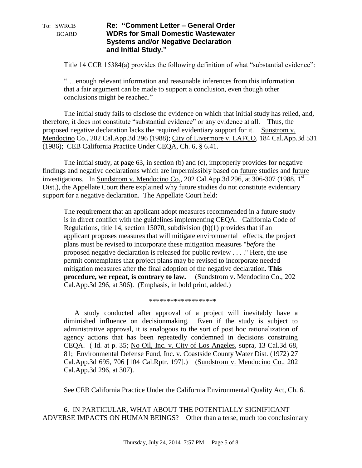Title 14 CCR 15384(a) provides the following definition of what "substantial evidence":

"….enough relevant information and reasonable inferences from this information that a fair argument can be made to support a conclusion, even though other conclusions might be reached."

The initial study fails to disclose the evidence on which that initial study has relied, and, therefore, it does not constitute "substantial evidence" or any evidence at all. Thus, the proposed negative declaration lacks the required evidentiary support for it. Sunstrom v. Mendocino Co., 202 Cal.App.3d 296 (1988); City of Livermore v. LAFCO, 184 Cal.App.3d 531 (1986); CEB California Practice Under CEQA, Ch. 6, § 6.41.

The initial study, at page 63, in section (b) and (c), improperly provides for negative findings and negative declarations which are impermissibly based on future studies and future investigations. In Sundstrom v. Mendocino Co., 202 Cal.App.3d 296, at 306-307 (1988,  $1<sup>st</sup>$ Dist.), the Appellate Court there explained why future studies do not constitute evidentiary support for a negative declaration. The Appellate Court held:

The requirement that an applicant adopt measures recommended in a future study is in direct conflict with the guidelines implementing CEQA. California Code of Regulations, title 14, section 15070, subdivision (b)(1) provides that if an applicant proposes measures that will mitigate environmental effects, the project plans must be revised to incorporate these mitigation measures "*before* the proposed negative declaration is released for public review . . . ." Here, the use permit contemplates that project plans may be revised to incorporate needed mitigation measures after the final adoption of the negative declaration. **This procedure, we repeat, is contrary to law.** (Sundstrom v. Mendocino Co., 202 Cal.App.3d 296, at 306). (Emphasis, in bold print, added.)

#### \*\*\*\*\*\*\*\*\*\*\*\*\*\*\*\*\*\*\*

A study conducted after approval of a project will inevitably have a diminished influence on decisionmaking. Even if the study is subject to administrative approval, it is analogous to the sort of post hoc rationalization of agency actions that has been repeatedly condemned in decisions construing CEQA. ( Id. at p. 35; No Oil, Inc. v. City of Los Angeles, supra, 13 Cal.3d 68, 81; Environmental Defense Fund, Inc. v. Coastside County Water Dist. (1972) 27 Cal.App.3d 695, 706 [104 Cal.Rptr. 197].) (Sundstrom v. Mendocino Co., 202 Cal.App.3d 296, at 307).

See CEB California Practice Under the California Environmental Quality Act, Ch. 6.

6. IN PARTICULAR, WHAT ABOUT THE POTENTIALLY SIGNIFICANT ADVERSE IMPACTS ON HUMAN BEINGS? Other than a terse, much too conclusionary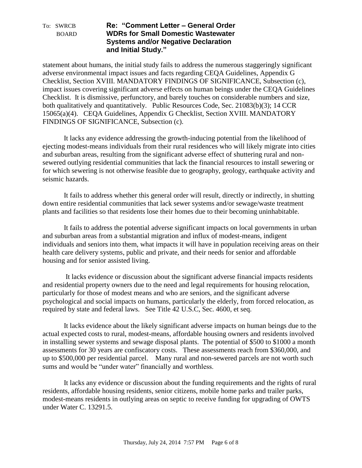statement about humans, the initial study fails to address the numerous staggeringly significant adverse environmental impact issues and facts regarding CEQA Guidelines, Appendix G Checklist, Section XVIII. MANDATORY FINDINGS OF SIGNIFICANCE, Subsection (c), impact issues covering significant adverse effects on human beings under the CEQA Guidelines Checklist. It is dismissive, perfunctory, and barely touches on considerable numbers and size, both qualitatively and quantitatively. Public Resources Code, Sec. 21083(b)(3); 14 CCR 15065(a)(4). CEQA Guidelines, Appendix G Checklist, Section XVIII. MANDATORY FINDINGS OF SIGNIFICANCE, Subsection (c).

It lacks any evidence addressing the growth-inducing potential from the likelihood of ejecting modest-means individuals from their rural residences who will likely migrate into cities and suburban areas, resulting from the significant adverse effect of shuttering rural and nonsewered outlying residential communities that lack the financial resources to install sewering or for which sewering is not otherwise feasible due to geography, geology, earthquake activity and seismic hazards.

It fails to address whether this general order will result, directly or indirectly, in shutting down entire residential communities that lack sewer systems and/or sewage/waste treatment plants and facilities so that residents lose their homes due to their becoming uninhabitable.

It fails to address the potential adverse significant impacts on local governments in urban and suburban areas from a substantial migration and influx of modest-means, indigent individuals and seniors into them, what impacts it will have in population receiving areas on their health care delivery systems, public and private, and their needs for senior and affordable housing and for senior assisted living.

It lacks evidence or discussion about the significant adverse financial impacts residents and residential property owners due to the need and legal requirements for housing relocation, particularly for those of modest means and who are seniors, and the significant adverse psychological and social impacts on humans, particularly the elderly, from forced relocation, as required by state and federal laws. See Title 42 U.S.C, Sec. 4600, et seq.

It lacks evidence about the likely significant adverse impacts on human beings due to the actual expected costs to rural, modest-means, affordable housing owners and residents involved in installing sewer systems and sewage disposal plants. The potential of \$500 to \$1000 a month assessments for 30 years are confiscatory costs. These assessments reach from \$360,000, and up to \$500,000 per residential parcel. Many rural and non-sewered parcels are not worth such sums and would be "under water" financially and worthless.

It lacks any evidence or discussion about the funding requirements and the rights of rural residents, affordable housing residents, senior citizens, mobile home parks and trailer parks, modest-means residents in outlying areas on septic to receive funding for upgrading of OWTS under Water C. 13291.5.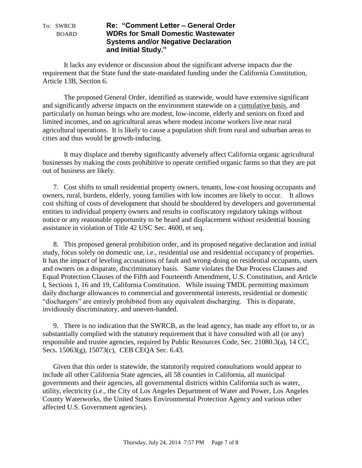It lacks any evidence or discussion about the significant adverse impacts due the requirement that the State fund the state-mandated funding under the California Constitution, Article 13B, Section 6.

The proposed General Order, identified as statewide, would have extensive significant and significantly adverse impacts on the environment statewide on a cumulative basis, and particularly on human beings who are modest, low-income, elderly and seniors on fixed and limited incomes, and on agricultural areas where modest income workers live near rural agricultural operations. It is likely to cause a population shift from rural and suburban areas to cities and thus would be growth-inducing.

It may displace and thereby significantly adversely affect California organic agricultural businesses by making the costs prohibitive to operate certified organic farms so that they are put out of business are likely.

7. Cost shifts to small residential property owners, tenants, low-cost housing occupants and owners, rural, burdens, elderly, young families with low incomes are likely to occur. It allows cost shifting of costs of development that should be shouldered by developers and governmental entities to individual property owners and results in confiscatory regulatory takings without notice or any reasonable opportunity to be heard and displacement without residential housing assistance in violation of Title 42 USC Sec. 4600, et seq.

8. This proposed general prohibition order, and its proposed negative declaration and initial study, focus solely on domestic use, i.e., residential use and residential occupancy of properties. It has the impact of leveling accusations of fault and wrong-doing on residential occupants, users and owners on a disparate, discriminatory basis. Same violates the Due Process Clauses and Equal Protection Clauses of the Fifth and Fourteenth Amendment, U.S. Constitution, and Article I, Sections 1, 16 and 19, California Constitution. While issuing TMDL permitting maximum daily discharge allowances to commercial and governmental interests, residential or domestic "dischargers" are entirely prohibited from any equivalent discharging. This is disparate, invidiously discriminatory, and uneven-handed.

9. There is no indication that the SWRCB, as the lead agency, has made any effort to, or as substantially complied with the statutory requirement that it have consulted with all (or any) responsible and trustee agencies, required by Public Resources Code, Sec. 21080.3(a), 14 CC, Secs. 15063(g), 15073(c), CEB CEQA Sec. 6.43.

Given that this order is statewide, the statutorily required consultations would appear to include all other California State agencies, all 58 counties in California, all municipal governments and their agencies, all governmental districts within California such as water, utility, electricity (i.e., the City of Los Angeles Department of Water and Power, Los Angeles County Waterworks, the United States Environmental Protection Agency and various other affected U.S. Government agencies).